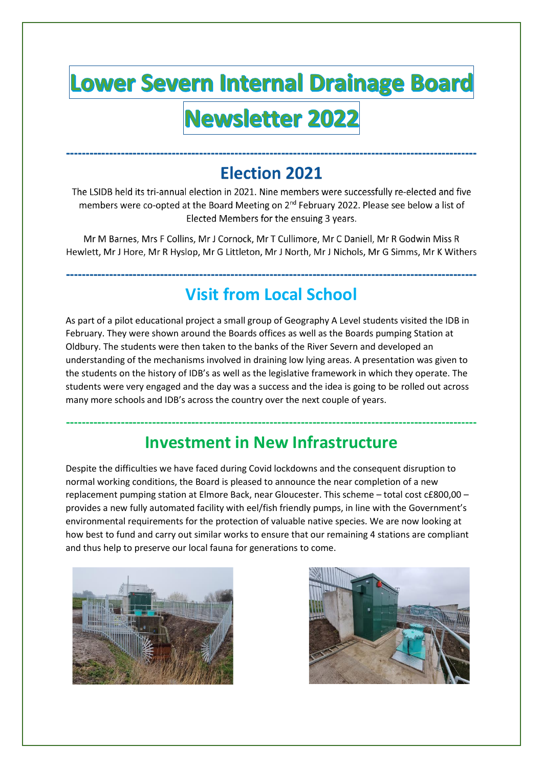## **Lower Severn Internal Drainage Board** Newsletter 2022

### **Election 2021**

The LSIDB held its tri-annual election in 2021. Nine members were successfully re-elected and five members were co-opted at the Board Meeting on 2<sup>nd</sup> February 2022. Please see below a list of Elected Members for the ensuing 3 years.

Mr M Barnes, Mrs F Collins, Mr J Cornock, Mr T Cullimore, Mr C Daniell, Mr R Godwin Miss R Hewlett, Mr J Hore, Mr R Hyslop, Mr G Littleton, Mr J North, Mr J Nichols, Mr G Simms, Mr K Withers

#### **Visit from Local School**

As part of a pilot educational project a small group of Geography A Level students visited the IDB in February. They were shown around the Boards offices as well as the Boards pumping Station at Oldbury. The students were then taken to the banks of the River Severn and developed an understanding of the mechanisms involved in draining low lying areas. A presentation was given to the students on the history of IDB's as well as the legislative framework in which they operate. The students were very engaged and the day was a success and the idea is going to be rolled out across many more schools and IDB's across the country over the next couple of years.

#### **Investment in New Infrastructure**

Despite the difficulties we have faced during Covid lockdowns and the consequent disruption to normal working conditions, the Board is pleased to announce the near completion of a new replacement pumping station at Elmore Back, near Gloucester. This scheme – total cost c£800,00 – provides a new fully automated facility with eel/fish friendly pumps, in line with the Government's environmental requirements for the protection of valuable native species. We are now looking at how best to fund and carry out similar works to ensure that our remaining 4 stations are compliant and thus help to preserve our local fauna for generations to come.